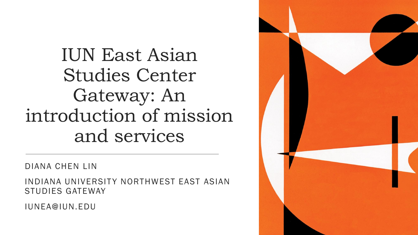IUN East Asian Studies Center Gateway: An introduction of mission and services

DIANA CHEN LIN

INDIANA UNIVERSITY NORTHWEST EAST ASIAN STUDIES GATEWAY

IUNEA@IUN.EDU

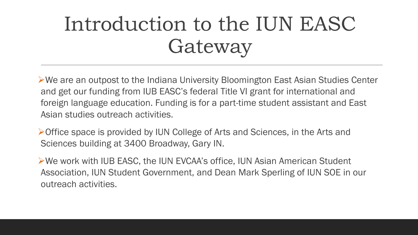# Introduction to the IUN EASC Gateway

We are an outpost to the Indiana University Bloomington East Asian Studies Center and get our funding from IUB EASC's federal Title VI grant for international and foreign language education. Funding is for a part-time student assistant and East Asian studies outreach activities.

Office space is provided by IUN College of Arts and Sciences, in the Arts and Sciences building at 3400 Broadway, Gary IN.

We work with IUB EASC, the IUN EVCAA's office, IUN Asian American Student Association, IUN Student Government, and Dean Mark Sperling of IUN SOE in our outreach activities.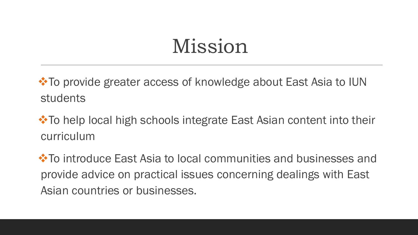## Mission

**\*To provide greater access of knowledge about East Asia to IUN** students

**\*** To help local high schools integrate East Asian content into their curriculum

**\*** To introduce East Asia to local communities and businesses and provide advice on practical issues concerning dealings with East Asian countries or businesses.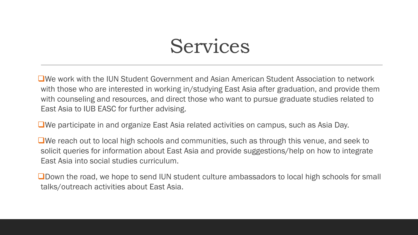### Services

We work with the IUN Student Government and Asian American Student Association to network with those who are interested in working in/studying East Asia after graduation, and provide them with counseling and resources, and direct those who want to pursue graduate studies related to East Asia to IUB EASC for further advising.

We participate in and organize East Asia related activities on campus, such as Asia Day.

We reach out to local high schools and communities, such as through this venue, and seek to solicit queries for information about East Asia and provide suggestions/help on how to integrate East Asia into social studies curriculum.

**OD** Down the road, we hope to send IUN student culture ambassadors to local high schools for small talks/outreach activities about East Asia.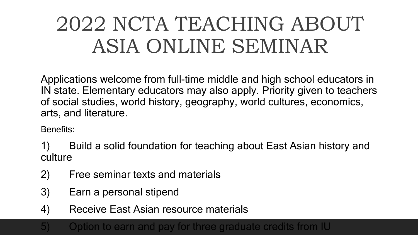# 2022 NCTA TEACHING ABOUT ASIA ONLINE SEMINAR

Applications welcome from full-time middle and high school educators in IN state. Elementary educators may also apply. Priority given to teachers of social studies, world history, geography, world cultures, economics, arts, and literature.

Benefits:

1) Build a solid foundation for teaching about East Asian history and culture

- 2) Free seminar texts and materials
- 3) Earn a personal stipend
- 4) Receive East Asian resource materials

#### 5) Option to earn and pay for three graduate credits from IU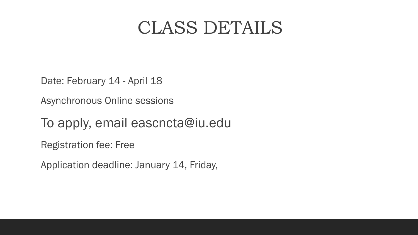#### CLASS DETAILS

Date: February 14 - April 18

Asynchronous Online sessions

To apply, email eascncta@iu.edu

Registration fee: Free

Application deadline: January 14, Friday,